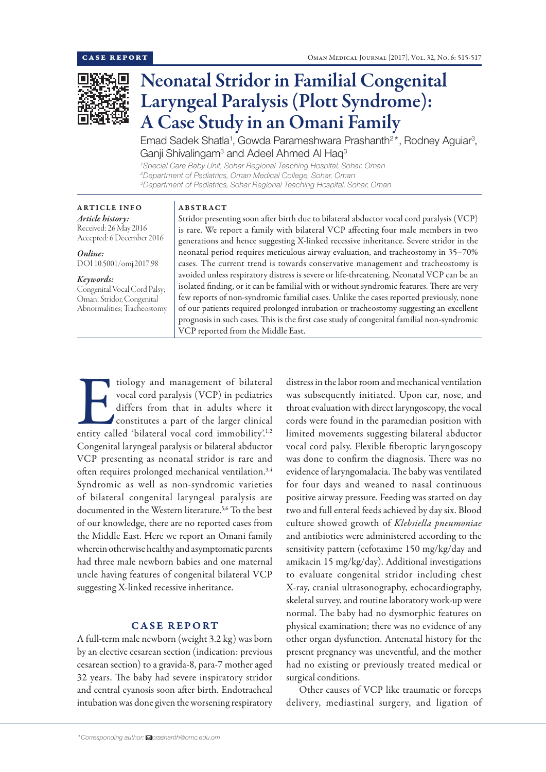

# Neonatal Stridor in Familial Congenital Laryngeal Paralysis (Plott Syndrome): A Case Study in an Omani Family

Emad Sadek Shatla<sup>1</sup>, Gowda Parameshwara Prashanth<sup>2\*</sup>, Rodney Aguiar<sup>3</sup>, Ganji Shivalingam<sup>3</sup> and Adeel Ahmed Al Haq<sup>3</sup>

*1 Special Care Baby Unit, Sohar Regional Teaching Hospital, Sohar, Oman 2 Department of Pediatrics, Oman Medical College, Sohar, Oman 3 Department of Pediatrics, Sohar Regional Teaching Hospital, Sohar, Oman*

#### ARTICLE INFO *Article history:*

Received: 26 May 2016 Accepted: 6 December 2016

*Online:* DOI 10.5001/omj.2017.98

#### *Keywords:*

Congenital Vocal Cord Palsy; Oman; Stridor, Congenital Abnormalities; Tracheostomy.

#### ABSTRACT

Stridor presenting soon after birth due to bilateral abductor vocal cord paralysis (VCP) is rare. We report a family with bilateral VCP affecting four male members in two generations and hence suggesting X-linked recessive inheritance. Severe stridor in the neonatal period requires meticulous airway evaluation, and tracheostomy in 35–70% cases. The current trend is towards conservative management and tracheostomy is avoided unless respiratory distress is severe or life-threatening. Neonatal VCP can be an isolated finding, or it can be familial with or without syndromic features. There are very few reports of non-syndromic familial cases. Unlike the cases reported previously, none of our patients required prolonged intubation or tracheostomy suggesting an excellent prognosis in such cases. This is the first case study of congenital familial non-syndromic VCP reported from the Middle East.

Tiology and management of bilateral<br>
vocal cord paralysis (VCP) in pediatrics<br>
differs from that in adults where it<br>
constitutes a part of the larger clinical<br>
entity called 'bilateral vocal cord immobility'.<sup>1,2</sup> vocal cord paralysis (VCP) in pediatrics differs from that in adults where it constitutes a part of the larger clinical Congenital laryngeal paralysis or bilateral abductor VCP presenting as neonatal stridor is rare and often requires prolonged mechanical ventilation.<sup>3,4</sup> Syndromic as well as non-syndromic varieties of bilateral congenital laryngeal paralysis are documented in the Western literature.<sup>5,6</sup> To the best of our knowledge, there are no reported cases from the Middle East. Here we report an Omani family wherein otherwise healthy and asymptomatic parents had three male newborn babies and one maternal uncle having features of congenital bilateral VCP suggesting X-linked recessive inheritance.

# CASE REPORT

A full-term male newborn (weight 3.2 kg) was born by an elective cesarean section (indication: previous cesarean section) to a gravida-8, para-7 mother aged 32 years. The baby had severe inspiratory stridor and central cyanosis soon after birth. Endotracheal intubation was done given the worsening respiratory distress in the labor room and mechanical ventilation was subsequently initiated. Upon ear, nose, and throat evaluation with direct laryngoscopy, the vocal cords were found in the paramedian position with limited movements suggesting bilateral abductor vocal cord palsy. Flexible fiberoptic laryngoscopy was done to confirm the diagnosis. There was no evidence of laryngomalacia. The baby was ventilated for four days and weaned to nasal continuous positive airway pressure. Feeding was started on day two and full enteral feeds achieved by day six. Blood culture showed growth of *Klebsiella pneumoniae* and antibiotics were administered according to the sensitivity pattern (cefotaxime 150 mg/kg/day and amikacin 15 mg/kg/day). Additional investigations to evaluate congenital stridor including chest X-ray, cranial ultrasonography, echocardiography, skeletal survey, and routine laboratory work-up were normal. The baby had no dysmorphic features on physical examination; there was no evidence of any other organ dysfunction. Antenatal history for the present pregnancy was uneventful, and the mother had no existing or previously treated medical or surgical conditions.

Other causes of VCP like traumatic or forceps delivery, mediastinal surgery, and ligation of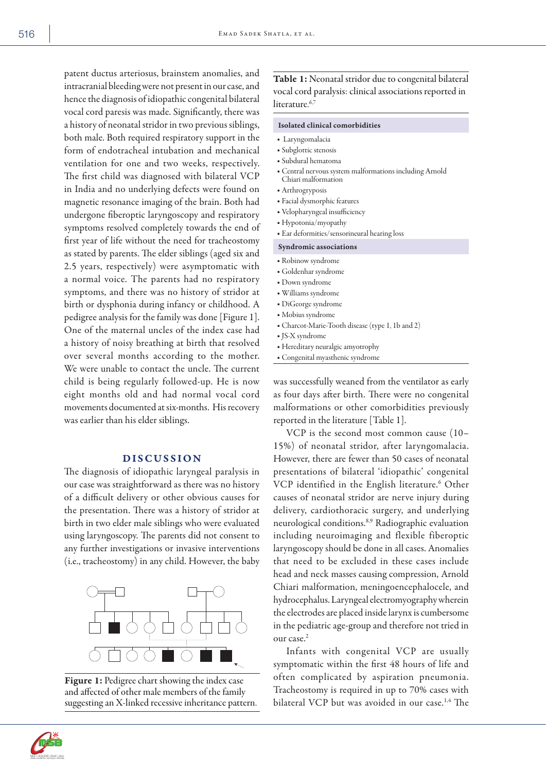patent ductus arteriosus, brainstem anomalies, and intracranial bleeding were not present in our case, and hence the diagnosis of idiopathic congenital bilateral vocal cord paresis was made. Significantly, there was a history of neonatal stridor in two previous siblings, both male. Both required respiratory support in the form of endotracheal intubation and mechanical ventilation for one and two weeks, respectively. The first child was diagnosed with bilateral VCP in India and no underlying defects were found on magnetic resonance imaging of the brain. Both had undergone fiberoptic laryngoscopy and respiratory symptoms resolved completely towards the end of first year of life without the need for tracheostomy as stated by parents. The elder siblings (aged six and 2.5 years, respectively) were asymptomatic with a normal voice. The parents had no respiratory symptoms, and there was no history of stridor at birth or dysphonia during infancy or childhood. A pedigree analysis for the family was done [Figure 1]. One of the maternal uncles of the index case had a history of noisy breathing at birth that resolved over several months according to the mother. We were unable to contact the uncle. The current child is being regularly followed-up. He is now eight months old and had normal vocal cord movements documented at six-months. His recovery was earlier than his elder siblings.

## DISCUSSION

The diagnosis of idiopathic laryngeal paralysis in our case was straightforward as there was no history of a difficult delivery or other obvious causes for the presentation. There was a history of stridor at birth in two elder male siblings who were evaluated using laryngoscopy. The parents did not consent to any further investigations or invasive interventions (i.e., tracheostomy) in any child. However, the baby



Figure 1: Pedigree chart showing the index case and affected of other male members of the family suggesting an X-linked recessive inheritance pattern.

Table 1: Neonatal stridor due to congenital bilateral vocal cord paralysis: clinical associations reported in literature.<sup>6,7</sup>

#### Isolated clinical comorbidities

- Laryngomalacia
- Subglottic stenosis
- Subdural hematoma
- Central nervous system malformations including Arnold Chiari malformation
- Arthrogryposis
- Facial dysmorphic features
- Velopharyngeal insufficiency
- Hypotonia/myopathy
- Ear deformities/sensorineural hearing loss

#### Syndromic associations

- Robinow syndrome
- Goldenhar syndrome
- Down syndrome
- Williams syndrome
- DiGeorge syndrome
- Mobius syndrome
- Charcot-Marie-Tooth disease (type 1, 1b and 2)
- JS-X syndrome
- Hereditary neuralgic amyotrophy
- Congenital myasthenic syndrome

was successfully weaned from the ventilator as early as four days after birth. There were no congenital malformations or other comorbidities previously reported in the literature [Table 1].

VCP is the second most common cause (10– 15%) of neonatal stridor, after laryngomalacia. However, there are fewer than 50 cases of neonatal presentations of bilateral 'idiopathic' congenital VCP identified in the English literature.<sup>6</sup> Other causes of neonatal stridor are nerve injury during delivery, cardiothoracic surgery, and underlying neurological conditions.8,9 Radiographic evaluation including neuroimaging and flexible fiberoptic laryngoscopy should be done in all cases. Anomalies that need to be excluded in these cases include head and neck masses causing compression, Arnold Chiari malformation, meningoencephalocele, and hydrocephalus. Laryngeal electromyography wherein the electrodes are placed inside larynx is cumbersome in the pediatric age-group and therefore not tried in our case.2

Infants with congenital VCP are usually symptomatic within the first 48 hours of life and often complicated by aspiration pneumonia. Tracheostomy is required in up to 70% cases with bilateral VCP but was avoided in our case.<sup>1,4</sup> The